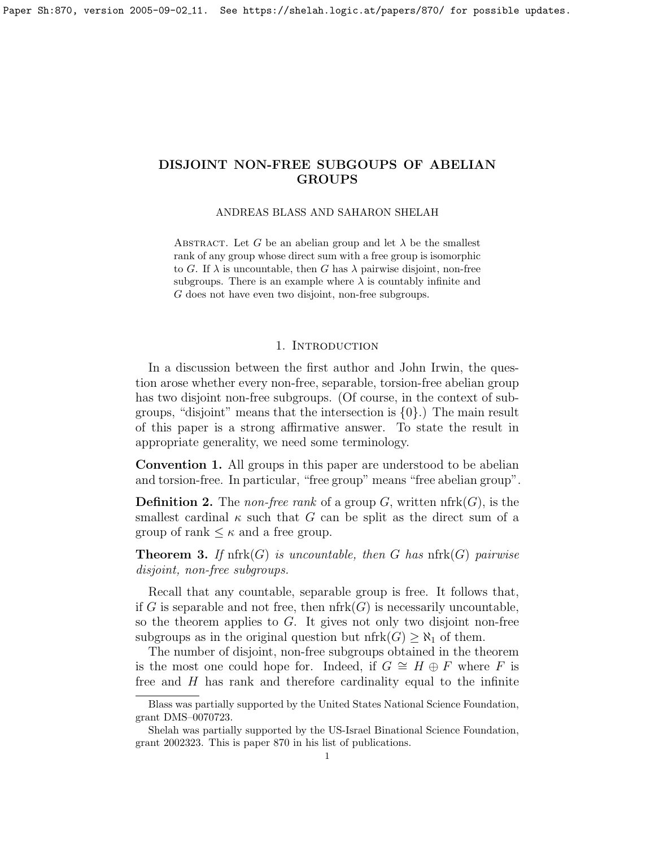#### ANDREAS BLASS AND SAHARON SHELAH

ABSTRACT. Let G be an abelian group and let  $\lambda$  be the smallest rank of any group whose direct sum with a free group is isomorphic to G. If  $\lambda$  is uncountable, then G has  $\lambda$  pairwise disjoint, non-free subgroups. There is an example where  $\lambda$  is countably infinite and G does not have even two disjoint, non-free subgroups.

## 1. INTRODUCTION

In a discussion between the first author and John Irwin, the question arose whether every non-free, separable, torsion-free abelian group has two disjoint non-free subgroups. (Of course, in the context of subgroups, "disjoint" means that the intersection is  $\{0\}$ .) The main result of this paper is a strong affirmative answer. To state the result in appropriate generality, we need some terminology.

Convention 1. All groups in this paper are understood to be abelian and torsion-free. In particular, "free group" means "free abelian group".

**Definition 2.** The *non-free rank* of a group  $G$ , written nfrk $(G)$ , is the smallest cardinal  $\kappa$  such that G can be split as the direct sum of a group of rank  $\leq \kappa$  and a free group.

<span id="page-0-0"></span>**Theorem 3.** If  $nfrk(G)$  is uncountable, then G has  $nfrk(G)$  pairwise disjoint, non-free subgroups.

Recall that any countable, separable group is free. It follows that, if G is separable and not free, then  $nfrk(G)$  is necessarily uncountable, so the theorem applies to  $G$ . It gives not only two disjoint non-free subgroups as in the original question but nfrk $(G) \geq \aleph_1$  of them.

The number of disjoint, non-free subgroups obtained in the theorem is the most one could hope for. Indeed, if  $G \cong H \oplus F$  where F is free and  $H$  has rank and therefore cardinality equal to the infinite

Blass was partially supported by the United States National Science Foundation, grant DMS–0070723.

Shelah was partially supported by the US-Israel Binational Science Foundation, grant 2002323. This is paper 870 in his list of publications.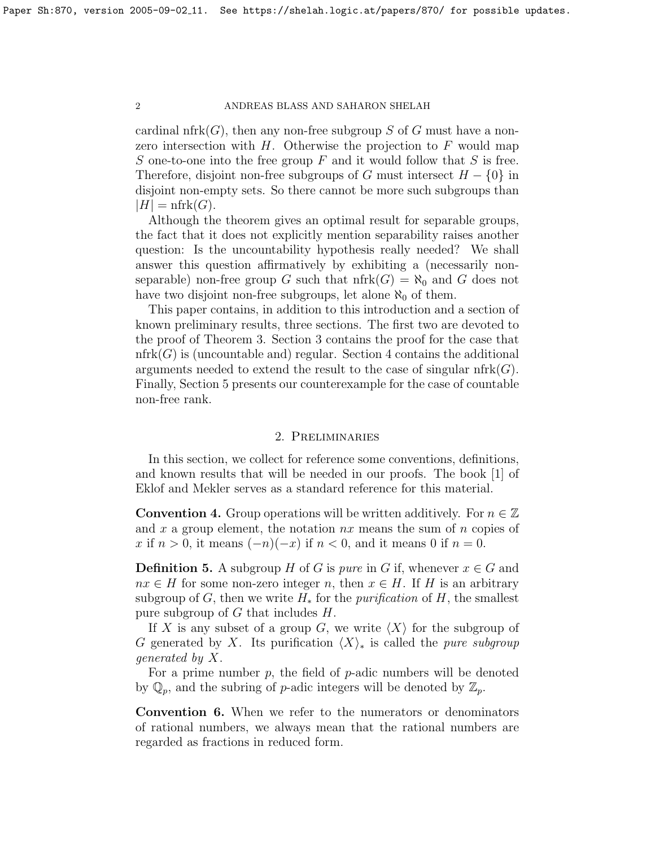cardinal nfrk $(G)$ , then any non-free subgroup S of G must have a nonzero intersection with  $H$ . Otherwise the projection to  $F$  would map S one-to-one into the free group  $F$  and it would follow that  $S$  is free. Therefore, disjoint non-free subgroups of G must intersect  $H - \{0\}$  in disjoint non-empty sets. So there cannot be more such subgroups than  $|H| = \text{nfrk}(G).$ 

Although the theorem gives an optimal result for separable groups, the fact that it does not explicitly mention separability raises another question: Is the uncountability hypothesis really needed? We shall answer this question affirmatively by exhibiting a (necessarily nonseparable) non-free group G such that  $nfrk(G) = \aleph_0$  and G does not have two disjoint non-free subgroups, let alone  $\aleph_0$  of them.

This paper contains, in addition to this introduction and a section of known preliminary results, three sections. The first two are devoted to the proof of Theorem [3.](#page-0-0) Section [3](#page-4-0) contains the proof for the case that nfrk $(G)$  is (uncountable and) regular. Section [4](#page-7-0) contains the additional arguments needed to extend the result to the case of singular  $nfrk(G)$ . Finally, Section [5](#page-9-0) presents our counterexample for the case of countable non-free rank.

# 2. Preliminaries

In this section, we collect for reference some conventions, definitions, and known results that will be needed in our proofs. The book [\[1\]](#page-17-0) of Eklof and Mekler serves as a standard reference for this material.

**Convention 4.** Group operations will be written additively. For  $n \in \mathbb{Z}$ and x a group element, the notation  $nx$  means the sum of n copies of x if  $n > 0$ , it means  $(-n)(-x)$  if  $n < 0$ , and it means 0 if  $n = 0$ .

**Definition 5.** A subgroup H of G is pure in G if, whenever  $x \in G$  and  $nx \in H$  for some non-zero integer n, then  $x \in H$ . If H is an arbitrary subgroup of G, then we write  $H_*$  for the *purification* of H, the smallest pure subgroup of  $G$  that includes  $H$ .

If X is any subset of a group G, we write  $\langle X \rangle$  for the subgroup of G generated by X. Its purification  $\langle X \rangle_{*}$  is called the *pure subgroup* generated by X.

For a prime number  $p$ , the field of  $p$ -adic numbers will be denoted by  $\mathbb{Q}_p$ , and the subring of p-adic integers will be denoted by  $\mathbb{Z}_p$ .

Convention 6. When we refer to the numerators or denominators of rational numbers, we always mean that the rational numbers are regarded as fractions in reduced form.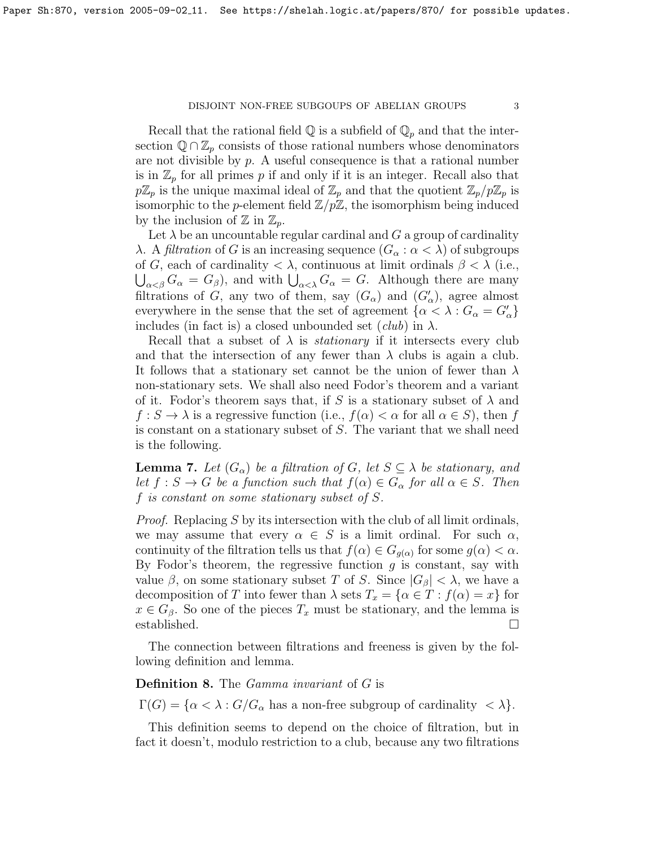## $DISJOINT\ NON-FREE\ SUBGOUPS\ OF\ ABELIAN\ GROUPS\ \qquad \qquad 3$

Recall that the rational field  $\mathbb Q$  is a subfield of  $\mathbb Q_p$  and that the intersection  $\mathbb{Q} \cap \mathbb{Z}_p$  consists of those rational numbers whose denominators are not divisible by  $p$ . A useful consequence is that a rational number is in  $\mathbb{Z}_p$  for all primes p if and only if it is an integer. Recall also that  $p\mathbb{Z}_p$  is the unique maximal ideal of  $\mathbb{Z}_p$  and that the quotient  $\mathbb{Z}_p/p\mathbb{Z}_p$  is isomorphic to the *p*-element field  $\mathbb{Z}/p\mathbb{Z}$ , the isomorphism being induced by the inclusion of  $\mathbb{Z}$  in  $\mathbb{Z}_p$ .

Let  $\lambda$  be an uncountable regular cardinal and G a group of cardinality λ. A *filtration* of G is an increasing sequence  $(G_\alpha : \alpha < \lambda)$  of subgroups of G, each of cardinality  $\langle \lambda \rangle$ , continuous at limit ordinals  $\beta \langle \lambda \rangle$  (i.e.,  $\bigcup_{\alpha<\beta}G_{\alpha}=G_{\beta}$ , and with  $\bigcup_{\alpha<\lambda}G_{\alpha}=G$ . Although there are many filtrations of G, any two of them, say  $(G_{\alpha})$  and  $(G'_{\alpha})$ , agree almost everywhere in the sense that the set of agreement  $\{\alpha < \lambda : G_{\alpha} = G'_{\alpha}\}\$ includes (in fact is) a closed unbounded set  $(club)$  in  $\lambda$ .

Recall that a subset of  $\lambda$  is *stationary* if it intersects every club and that the intersection of any fewer than  $\lambda$  clubs is again a club. It follows that a stationary set cannot be the union of fewer than  $\lambda$ non-stationary sets. We shall also need Fodor's theorem and a variant of it. Fodor's theorem says that, if S is a stationary subset of  $\lambda$  and  $f: S \to \lambda$  is a regressive function (i.e.,  $f(\alpha) < \alpha$  for all  $\alpha \in S$ ), then f is constant on a stationary subset of S. The variant that we shall need is the following.

<span id="page-2-1"></span>**Lemma 7.** Let  $(G_{\alpha})$  be a filtration of G, let  $S \subseteq \lambda$  be stationary, and let  $f : S \to G$  be a function such that  $f(\alpha) \in G_\alpha$  for all  $\alpha \in S$ . Then f is constant on some stationary subset of S.

*Proof.* Replacing S by its intersection with the club of all limit ordinals, we may assume that every  $\alpha \in S$  is a limit ordinal. For such  $\alpha$ , continuity of the filtration tells us that  $f(\alpha) \in G_{g(\alpha)}$  for some  $g(\alpha) < \alpha$ . By Fodor's theorem, the regressive function  $g$  is constant, say with value  $\beta$ , on some stationary subset T of S. Since  $|G_\beta| < \lambda$ , we have a decomposition of T into fewer than  $\lambda$  sets  $T_x = {\alpha \in T : f(\alpha) = x}$  for  $x \in G_\beta$ . So one of the pieces  $T_x$  must be stationary, and the lemma is established.

The connection between filtrations and freeness is given by the following definition and lemma.

<span id="page-2-0"></span>Definition 8. The Gamma invariant of G is

 $\Gamma(G) = \{ \alpha < \lambda : G/G_\alpha \text{ has a non-free subgroup of cardinality } < \lambda \}.$ 

This definition seems to depend on the choice of filtration, but in fact it doesn't, modulo restriction to a club, because any two filtrations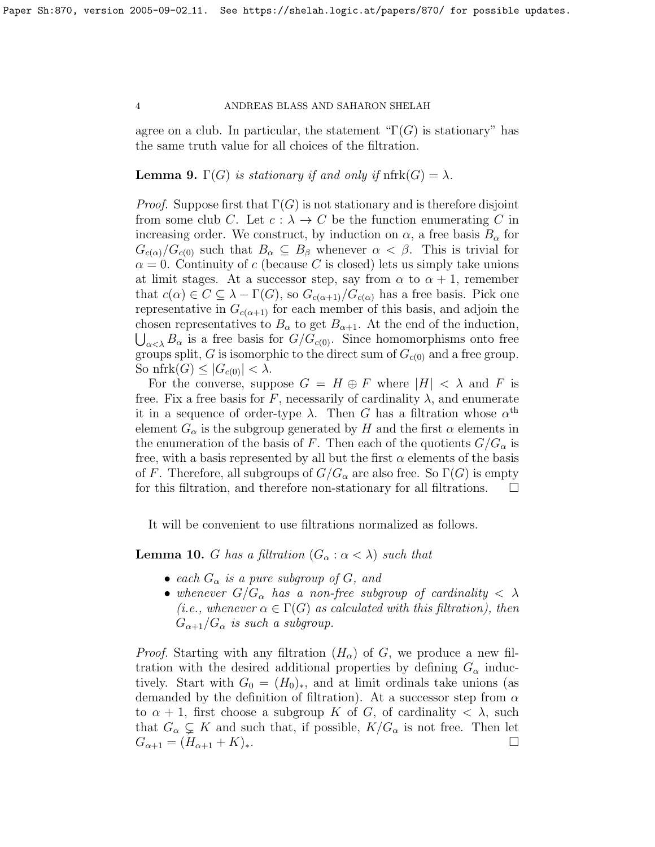agree on a club. In particular, the statement " $\Gamma(G)$  is stationary" has the same truth value for all choices of the filtration.

# <span id="page-3-1"></span>**Lemma 9.**  $\Gamma(G)$  is stationary if and only if  $\text{nfrk}(G) = \lambda$ .

*Proof.* Suppose first that  $\Gamma(G)$  is not stationary and is therefore disjoint from some club C. Let  $c : \lambda \to C$  be the function enumerating C in increasing order. We construct, by induction on  $\alpha$ , a free basis  $B_{\alpha}$  for  $G_{c(\alpha)}/G_{c(0)}$  such that  $B_\alpha \subseteq B_\beta$  whenever  $\alpha < \beta$ . This is trivial for  $\alpha = 0$ . Continuity of c (because C is closed) lets us simply take unions at limit stages. At a successor step, say from  $\alpha$  to  $\alpha + 1$ , remember that  $c(\alpha) \in C \subseteq \lambda - \Gamma(G)$ , so  $G_{c(\alpha+1)}/G_{c(\alpha)}$  has a free basis. Pick one representative in  $G_{c(\alpha+1)}$  for each member of this basis, and adjoin the chosen representatives to  $B_{\alpha}$  to get  $B_{\alpha+1}$ . At the end of the induction,  $\bigcup_{\alpha<\lambda} B_{\alpha}$  is a free basis for  $G/G_{c(0)}$ . Since homomorphisms onto free groups split, G is isomorphic to the direct sum of  $G_{c(0)}$  and a free group. So nfrk $(G) \leq |G_{c(0)}| < \lambda$ .

For the converse, suppose  $G = H \oplus F$  where  $|H| < \lambda$  and F is free. Fix a free basis for F, necessarily of cardinality  $\lambda$ , and enumerate it in a sequence of order-type  $\lambda$ . Then G has a filtration whose  $\alpha^{\text{th}}$ element  $G_{\alpha}$  is the subgroup generated by H and the first  $\alpha$  elements in the enumeration of the basis of F. Then each of the quotients  $G/G_{\alpha}$  is free, with a basis represented by all but the first  $\alpha$  elements of the basis of F. Therefore, all subgroups of  $G/G_{\alpha}$  are also free. So  $\Gamma(G)$  is empty for this filtration, and therefore non-stationary for all filtrations.

It will be convenient to use filtrations normalized as follows.

<span id="page-3-0"></span>**Lemma 10.** G has a filtration  $(G_\alpha : \alpha < \lambda)$  such that

- each  $G_{\alpha}$  is a pure subgroup of G, and
- whenever  $G/G_{\alpha}$  has a non-free subgroup of cardinality  $\langle \lambda \rangle$ (*i.e.*, whenever  $\alpha \in \Gamma(G)$  as calculated with this filtration), then  $G_{\alpha+1}/G_{\alpha}$  is such a subgroup.

*Proof.* Starting with any filtration  $(H_{\alpha})$  of G, we produce a new filtration with the desired additional properties by defining  $G_{\alpha}$  inductively. Start with  $G_0 = (H_0)_*,$  and at limit ordinals take unions (as demanded by the definition of filtration). At a successor step from  $\alpha$ to  $\alpha + 1$ , first choose a subgroup K of G, of cardinality  $\langle \lambda \rangle$ , such that  $G_{\alpha} \subsetneq K$  and such that, if possible,  $K/G_{\alpha}$  is not free. Then let  $G_{\alpha+1} = (H_{\alpha+1} + K)_*.$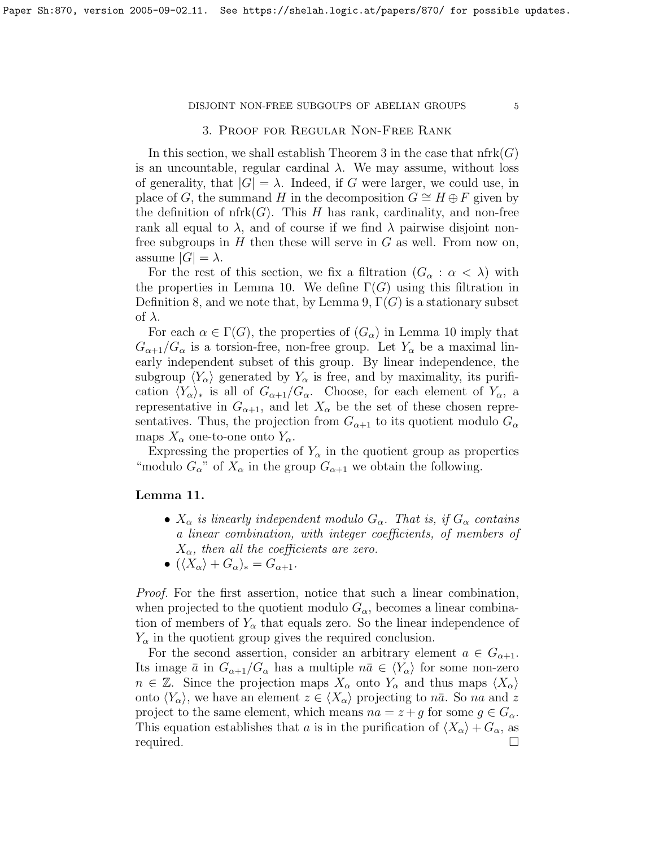# 3. Proof for Regular Non-Free Rank

<span id="page-4-0"></span>In this section, we shall establish Theorem [3](#page-0-0) in the case that  $nfrk(G)$ is an uncountable, regular cardinal  $\lambda$ . We may assume, without loss of generality, that  $|G| = \lambda$ . Indeed, if G were larger, we could use, in place of G, the summand H in the decomposition  $G \cong H \oplus F$  given by the definition of  $nfrk(G)$ . This H has rank, cardinality, and non-free rank all equal to  $\lambda$ , and of course if we find  $\lambda$  pairwise disjoint nonfree subgroups in  $H$  then these will serve in  $G$  as well. From now on, assume  $|G| = \lambda$ .

For the rest of this section, we fix a filtration  $(G_{\alpha}: \alpha < \lambda)$  with the properties in Lemma [10.](#page-3-0) We define  $\Gamma(G)$  using this filtration in Definition [8,](#page-2-0) and we note that, by Lemma [9,](#page-3-1)  $\Gamma(G)$  is a stationary subset of  $\lambda$ .

For each  $\alpha \in \Gamma(G)$ , the properties of  $(G_{\alpha})$  in Lemma [10](#page-3-0) imply that  $G_{\alpha+1}/G_{\alpha}$  is a torsion-free, non-free group. Let  $Y_{\alpha}$  be a maximal linearly independent subset of this group. By linear independence, the subgroup  $\langle Y_{\alpha} \rangle$  generated by  $Y_{\alpha}$  is free, and by maximality, its purification  $\langle Y_{\alpha}\rangle_*$  is all of  $G_{\alpha+1}/G_{\alpha}$ . Choose, for each element of  $Y_{\alpha}$ , a representative in  $G_{\alpha+1}$ , and let  $X_{\alpha}$  be the set of these chosen representatives. Thus, the projection from  $G_{\alpha+1}$  to its quotient modulo  $G_{\alpha}$ maps  $X_{\alpha}$  one-to-one onto  $Y_{\alpha}$ .

Expressing the properties of  $Y_\alpha$  in the quotient group as properties "modulo  $G_{\alpha}$ " of  $X_{\alpha}$  in the group  $G_{\alpha+1}$  we obtain the following.

## <span id="page-4-1"></span>Lemma 11.

- $X_{\alpha}$  is linearly independent modulo  $G_{\alpha}$ . That is, if  $G_{\alpha}$  contains a linear combination, with integer coefficients, of members of  $X_{\alpha}$ , then all the coefficients are zero.
- $(\langle X_{\alpha} \rangle + G_{\alpha})_{*} = G_{\alpha+1}.$

Proof. For the first assertion, notice that such a linear combination, when projected to the quotient modulo  $G_{\alpha}$ , becomes a linear combination of members of  $Y_{\alpha}$  that equals zero. So the linear independence of  $Y_{\alpha}$  in the quotient group gives the required conclusion.

For the second assertion, consider an arbitrary element  $a \in G_{\alpha+1}$ . Its image  $\bar{a}$  in  $G_{\alpha+1}/G_{\alpha}$  has a multiple  $n\bar{a} \in \langle Y_{\alpha} \rangle$  for some non-zero  $n \in \mathbb{Z}$ . Since the projection maps  $X_{\alpha}$  onto  $Y_{\alpha}$  and thus maps  $\langle X_{\alpha} \rangle$ onto  $\langle Y_{\alpha} \rangle$ , we have an element  $z \in \langle X_{\alpha} \rangle$  projecting to  $n\bar{a}$ . So na and z project to the same element, which means  $na = z + g$  for some  $g \in G_\alpha$ . This equation establishes that a is in the purification of  $\langle X_{\alpha} \rangle + G_{\alpha}$ , as required.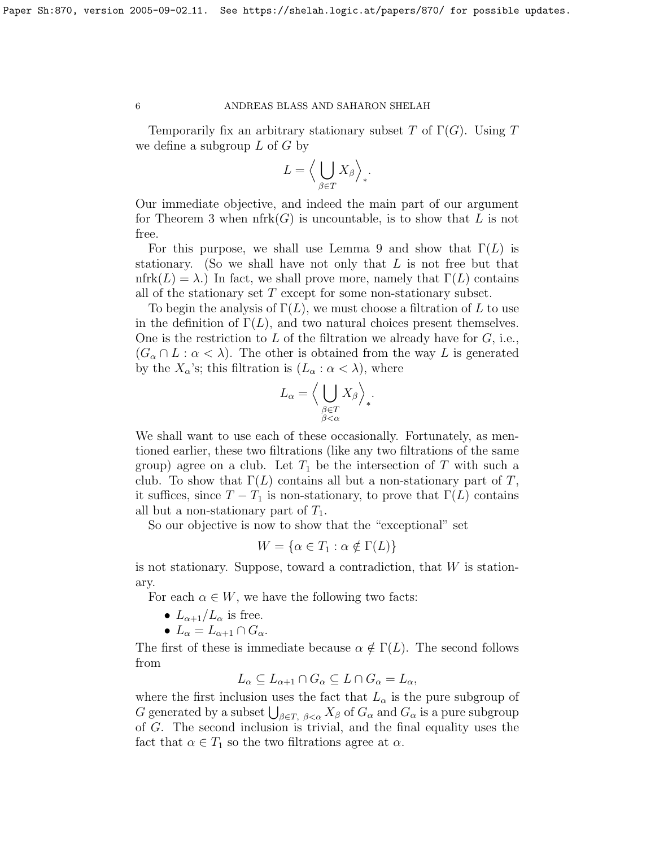Temporarily fix an arbitrary stationary subset T of  $\Gamma(G)$ . Using T we define a subgroup  $L$  of  $G$  by

$$
L = \left\langle \bigcup_{\beta \in T} X_{\beta} \right\rangle_*.
$$

Our immediate objective, and indeed the main part of our argument for Theorem [3](#page-0-0) when  $nfrk(G)$  is uncountable, is to show that L is not free.

For this purpose, we shall use Lemma [9](#page-3-1) and show that  $\Gamma(L)$  is stationary. (So we shall have not only that  $L$  is not free but that nfrk $(L) = \lambda$ .) In fact, we shall prove more, namely that  $\Gamma(L)$  contains all of the stationary set  $T$  except for some non-stationary subset.

To begin the analysis of  $\Gamma(L)$ , we must choose a filtration of L to use in the definition of  $\Gamma(L)$ , and two natural choices present themselves. One is the restriction to  $L$  of the filtration we already have for  $G$ , i.e.,  $(G_{\alpha} \cap L : \alpha < \lambda)$ . The other is obtained from the way L is generated by the  $X_{\alpha}$ 's; this filtration is  $(L_{\alpha} : \alpha < \lambda)$ , where

$$
L_{\alpha} = \Big\langle \bigcup_{\substack{\beta \in T \\ \beta < \alpha}} X_{\beta} \Big\rangle_*.
$$

We shall want to use each of these occasionally. Fortunately, as mentioned earlier, these two filtrations (like any two filtrations of the same group) agree on a club. Let  $T_1$  be the intersection of T with such a club. To show that  $\Gamma(L)$  contains all but a non-stationary part of T, it suffices, since  $T - T_1$  is non-stationary, to prove that  $\Gamma(L)$  contains all but a non-stationary part of  $T_1$ .

So our objective is now to show that the "exceptional" set

$$
W = \{ \alpha \in T_1 : \alpha \notin \Gamma(L) \}
$$

is not stationary. Suppose, toward a contradiction, that  $W$  is stationary.

For each  $\alpha \in W$ , we have the following two facts:

- $L_{\alpha+1}/L_{\alpha}$  is free.
- $L_{\alpha} = L_{\alpha+1} \cap G_{\alpha}$ .

The first of these is immediate because  $\alpha \notin \Gamma(L)$ . The second follows from

$$
L_{\alpha} \subseteq L_{\alpha+1} \cap G_{\alpha} \subseteq L \cap G_{\alpha} = L_{\alpha},
$$

where the first inclusion uses the fact that  $L_{\alpha}$  is the pure subgroup of G generated by a subset  $\bigcup_{\beta \in T, \beta < \alpha} X_{\beta}$  of  $G_{\alpha}$  and  $G_{\alpha}$  is a pure subgroup of G. The second inclusion is trivial, and the final equality uses the fact that  $\alpha \in T_1$  so the two filtrations agree at  $\alpha$ .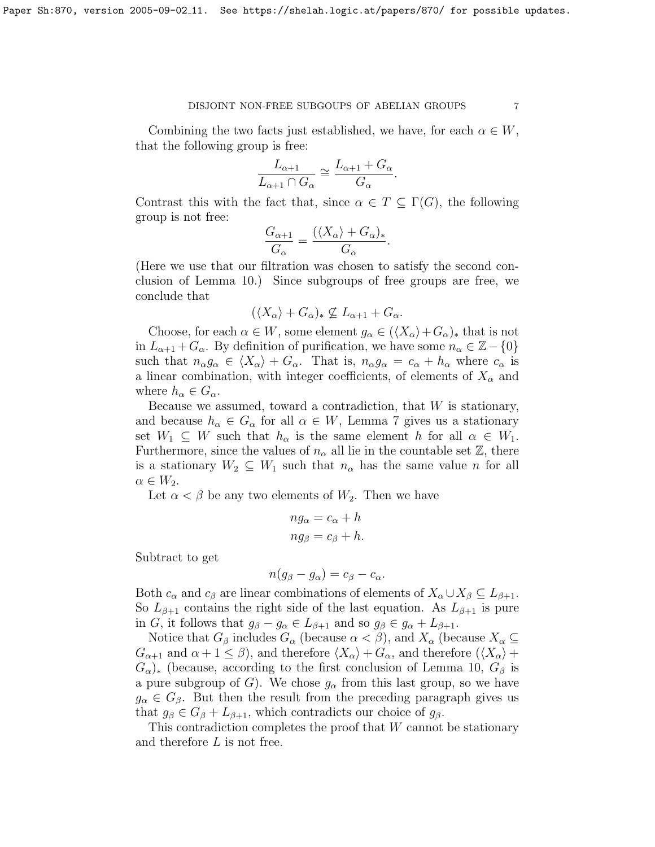Combining the two facts just established, we have, for each  $\alpha \in W$ , that the following group is free:

$$
\frac{L_{\alpha+1}}{L_{\alpha+1} \cap G_{\alpha}} \cong \frac{L_{\alpha+1} + G_{\alpha}}{G_{\alpha}}.
$$

Contrast this with the fact that, since  $\alpha \in T \subset \Gamma(G)$ , the following group is not free:

$$
\frac{G_{\alpha+1}}{G_{\alpha}} = \frac{(\langle X_{\alpha} \rangle + G_{\alpha})_*}{G_{\alpha}}.
$$

(Here we use that our filtration was chosen to satisfy the second conclusion of Lemma [10.](#page-3-0)) Since subgroups of free groups are free, we conclude that

$$
(\langle X_{\alpha}\rangle + G_{\alpha})_* \not\subseteq L_{\alpha+1} + G_{\alpha}.
$$

Choose, for each  $\alpha \in W$ , some element  $g_{\alpha} \in (\langle X_{\alpha}\rangle + G_{\alpha})_*$  that is not in  $L_{\alpha+1} + G_{\alpha}$ . By definition of purification, we have some  $n_{\alpha} \in \mathbb{Z} - \{0\}$ such that  $n_{\alpha}g_{\alpha} \in \langle X_{\alpha} \rangle + G_{\alpha}$ . That is,  $n_{\alpha}g_{\alpha} = c_{\alpha} + h_{\alpha}$  where  $c_{\alpha}$  is a linear combination, with integer coefficients, of elements of  $X_{\alpha}$  and where  $h_{\alpha} \in G_{\alpha}$ .

Because we assumed, toward a contradiction, that  $W$  is stationary, and because  $h_{\alpha} \in G_{\alpha}$  for all  $\alpha \in W$ , Lemma [7](#page-2-1) gives us a stationary set  $W_1 \subseteq W$  such that  $h_\alpha$  is the same element h for all  $\alpha \in W_1$ . Furthermore, since the values of  $n_{\alpha}$  all lie in the countable set  $\mathbb{Z}$ , there is a stationary  $W_2 \subseteq W_1$  such that  $n_\alpha$  has the same value n for all  $\alpha \in W_2$ .

Let  $\alpha < \beta$  be any two elements of  $W_2$ . Then we have

$$
ng_{\alpha} = c_{\alpha} + h
$$

$$
ng_{\beta} = c_{\beta} + h.
$$

Subtract to get

$$
n(g_{\beta}-g_{\alpha})=c_{\beta}-c_{\alpha}.
$$

Both  $c_{\alpha}$  and  $c_{\beta}$  are linear combinations of elements of  $X_{\alpha}\cup X_{\beta}\subseteq L_{\beta+1}$ . So  $L_{\beta+1}$  contains the right side of the last equation. As  $L_{\beta+1}$  is pure in G, it follows that  $g_{\beta} - g_{\alpha} \in L_{\beta+1}$  and so  $g_{\beta} \in g_{\alpha} + L_{\beta+1}$ .

Notice that  $G_\beta$  includes  $G_\alpha$  (because  $\alpha < \beta$ ), and  $X_\alpha$  (because  $X_\alpha \subseteq$  $G_{\alpha+1}$  and  $\alpha+1 \leq \beta$ ), and therefore  $\langle X_{\alpha} \rangle + G_{\alpha}$ , and therefore  $(\langle X_{\alpha} \rangle +$  $(G_{\alpha})_*$  (because, according to the first conclusion of Lemma [10,](#page-3-0)  $G_{\beta}$  is a pure subgroup of G). We chose  $g_{\alpha}$  from this last group, so we have  $g_{\alpha} \in G_{\beta}$ . But then the result from the preceding paragraph gives us that  $g_{\beta} \in G_{\beta} + L_{\beta+1}$ , which contradicts our choice of  $g_{\beta}$ .

This contradiction completes the proof that W cannot be stationary and therefore L is not free.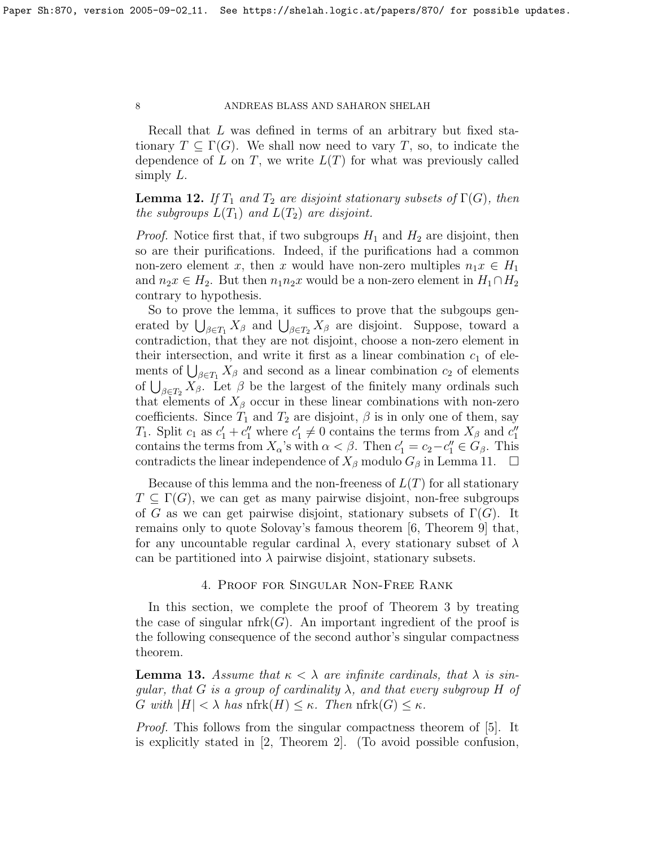Recall that L was defined in terms of an arbitrary but fixed stationary  $T \subseteq \Gamma(G)$ . We shall now need to vary T, so, to indicate the dependence of L on T, we write  $L(T)$  for what was previously called simply  $L$ .

<span id="page-7-2"></span>**Lemma 12.** If  $T_1$  and  $T_2$  are disjoint stationary subsets of  $\Gamma(G)$ , then the subgroups  $L(T_1)$  and  $L(T_2)$  are disjoint.

*Proof.* Notice first that, if two subgroups  $H_1$  and  $H_2$  are disjoint, then so are their purifications. Indeed, if the purifications had a common non-zero element x, then x would have non-zero multiples  $n_1x \in H_1$ and  $n_2x \in H_2$ . But then  $n_1n_2x$  would be a non-zero element in  $H_1 \cap H_2$ contrary to hypothesis.

So to prove the lemma, it suffices to prove that the subgoups generated by  $\bigcup_{\beta \in T_1} X_\beta$  and  $\bigcup_{\beta \in T_2} X_\beta$  are disjoint. Suppose, toward a contradiction, that they are not disjoint, choose a non-zero element in their intersection, and write it first as a linear combination  $c_1$  of elements of  $\bigcup_{\beta \in T_1} X_\beta$  and second as a linear combination  $c_2$  of elements of  $\bigcup_{\beta \in T_2} X_{\beta}$ . Let  $\beta$  be the largest of the finitely many ordinals such that elements of  $X_\beta$  occur in these linear combinations with non-zero coefficients. Since  $T_1$  and  $T_2$  are disjoint,  $\beta$  is in only one of them, say T<sub>1</sub>. Split  $c_1$  as  $c'_1 + c''_1$  where  $c'_1 \neq 0$  contains the terms from  $X_\beta$  and  $c''_1$ contains the terms from  $X_{\alpha}$ 's with  $\alpha < \beta$ . Then  $c'_1 = c_2 - c''_1 \in G_{\beta}$ . This contradicts the linear independence of  $X_{\beta}$  modulo  $G_{\beta}$  in Lemma [11.](#page-4-1)  $\square$ 

Because of this lemma and the non-freeness of  $L(T)$  for all stationary  $T \subseteq \Gamma(G)$ , we can get as many pairwise disjoint, non-free subgroups of G as we can get pairwise disjoint, stationary subsets of  $\Gamma(G)$ . It remains only to quote Solovay's famous theorem [\[6,](#page-18-0) Theorem 9] that, for any uncountable regular cardinal  $\lambda$ , every stationary subset of  $\lambda$ can be partitioned into  $\lambda$  pairwise disjoint, stationary subsets.

## 4. Proof for Singular Non-Free Rank

<span id="page-7-0"></span>In this section, we complete the proof of Theorem [3](#page-0-0) by treating the case of singular  $nfrk(G)$ . An important ingredient of the proof is the following consequence of the second author's singular compactness theorem.

<span id="page-7-1"></span>**Lemma 13.** Assume that  $\kappa < \lambda$  are infinite cardinals, that  $\lambda$  is singular, that G is a group of cardinality  $\lambda$ , and that every subgroup H of G with  $|H| < \lambda$  has nfrk $(H) \leq \kappa$ . Then nfrk $(G) \leq \kappa$ .

Proof. This follows from the singular compactness theorem of [\[5\]](#page-18-1). It is explicitly stated in [\[2,](#page-17-1) Theorem 2]. (To avoid possible confusion,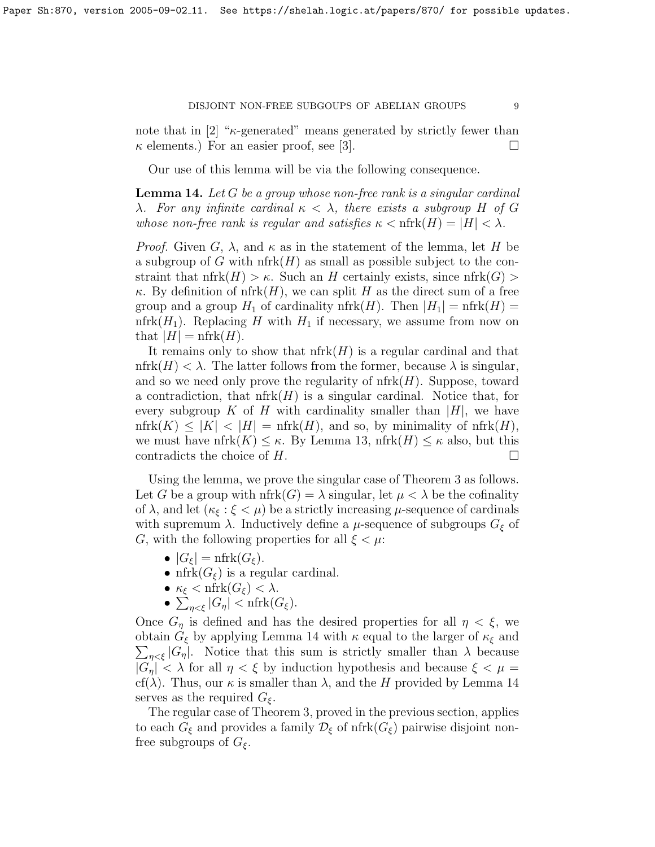note that in  $[2]$  " $\kappa$ -generated" means generated by strictly fewer than  $\kappa$  elements.) For an easier proof, see [\[3\]](#page-17-2).

Our use of this lemma will be via the following consequence.

<span id="page-8-0"></span>**Lemma 14.** Let G be a group whose non-free rank is a singular cardinal λ. For any infinite cardinal  $κ < λ$ , there exists a subgroup H of G whose non-free rank is regular and satisfies  $\kappa < \text{nfrk}(H) = |H| < \lambda$ .

*Proof.* Given G,  $\lambda$ , and  $\kappa$  as in the statement of the lemma, let H be a subgroup of G with  $n \text{frk}(H)$  as small as possible subject to the constraint that  $nfrk(H) > \kappa$ . Such an H certainly exists, since  $nfrk(G) >$  $\kappa$ . By definition of nfrk $(H)$ , we can split H as the direct sum of a free group and a group  $H_1$  of cardinality nfrk $(H)$ . Then  $|H_1| = \text{nfrk}(H) =$ nfrk $(H_1)$ . Replacing H with  $H_1$  if necessary, we assume from now on that  $|H| = \text{nfrk}(H)$ .

It remains only to show that  $nfrk(H)$  is a regular cardinal and that nfrk $(H) < \lambda$ . The latter follows from the former, because  $\lambda$  is singular, and so we need only prove the regularity of  $nfrk(H)$ . Suppose, toward a contradiction, that  $n \text{frk}(H)$  is a singular cardinal. Notice that, for every subgroup K of H with cardinality smaller than  $|H|$ , we have  $nfrk(K) \leq |K| < |H| = nfrk(H)$ , and so, by minimality of  $nfrk(H)$ , we must have nfrk $(K) \leq \kappa$ . By Lemma [13,](#page-7-1) nfrk $(H) \leq \kappa$  also, but this contradicts the choice of  $H$ .

Using the lemma, we prove the singular case of Theorem [3](#page-0-0) as follows. Let G be a group with  $nfrk(G) = \lambda$  singular, let  $\mu < \lambda$  be the cofinality of  $\lambda$ , and let  $(\kappa_{\xi} : \xi < \mu)$  be a strictly increasing  $\mu$ -sequence of cardinals with supremum  $\lambda$ . Inductively define a  $\mu$ -sequence of subgroups  $G_{\xi}$  of G, with the following properties for all  $\xi < \mu$ :

- $|G_{\xi}| = \text{nfrk}(G_{\xi}).$
- nfrk $(G_{\xi})$  is a regular cardinal.
- $\kappa_{\xi} < \text{nfrk}(G_{\xi}) < \lambda$ .
- $\sum_{\eta < \xi} |G_{\eta}| < \mathrm{nfrk}(G_{\xi}).$

Once  $G_n$  is defined and has the desired properties for all  $\eta < \xi$ , we  $\sum_{\eta<\xi} |G_{\eta}|$ . Notice that this sum is strictly smaller than  $\lambda$  because obtain  $G_{\xi}$  by applying Lemma [14](#page-8-0) with  $\kappa$  equal to the larger of  $\kappa_{\xi}$  and  $|G_{\eta}| < \lambda$  for all  $\eta < \xi$  by induction hypothesis and because  $\xi < \mu =$ cf( $\lambda$ ). Thus, our  $\kappa$  is smaller than  $\lambda$ , and the H provided by Lemma [14](#page-8-0) serves as the required  $G_{\xi}$ .

The regular case of Theorem [3,](#page-0-0) proved in the previous section, applies to each  $G_{\xi}$  and provides a family  $\mathcal{D}_{\xi}$  of nfrk $(G_{\xi})$  pairwise disjoint nonfree subgroups of  $G_{\xi}$ .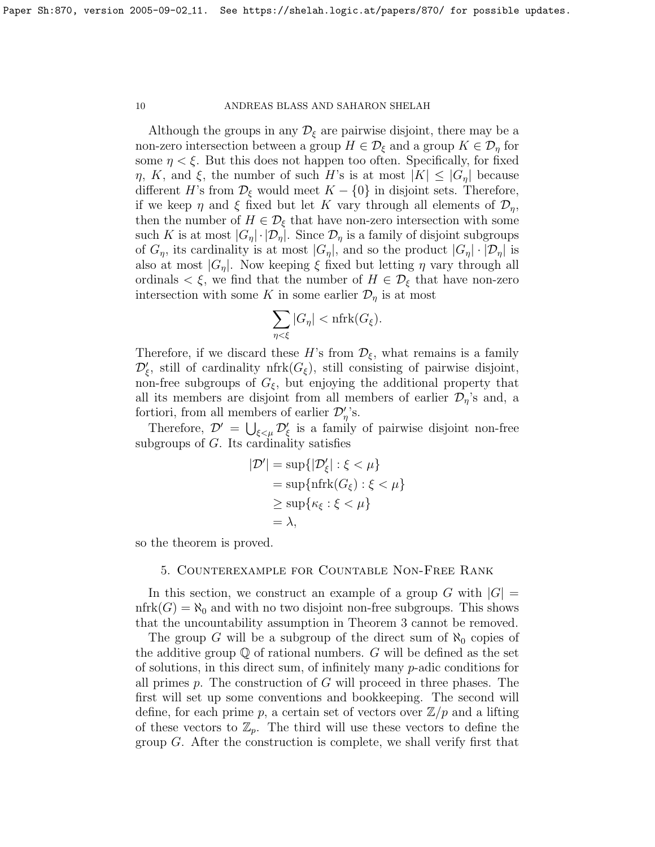Although the groups in any  $\mathcal{D}_{\xi}$  are pairwise disjoint, there may be a non-zero intersection between a group  $H \in \mathcal{D}_{\xi}$  and a group  $K \in \mathcal{D}_{\eta}$  for some  $\eta < \xi$ . But this does not happen too often. Specifically, for fixed  $\eta$ , K, and  $\xi$ , the number of such H's is at most  $|K| \leq |G_{\eta}|$  because different H's from  $\mathcal{D}_{\xi}$  would meet  $K - \{0\}$  in disjoint sets. Therefore, if we keep  $\eta$  and  $\xi$  fixed but let K vary through all elements of  $\mathcal{D}_n$ , then the number of  $H \in \mathcal{D}_{\xi}$  that have non-zero intersection with some such K is at most  $|G_{\eta}| \cdot |\mathcal{D}_{\eta}|$ . Since  $\mathcal{D}_{\eta}$  is a family of disjoint subgroups of  $G_{\eta}$ , its cardinality is at most  $|G_{\eta}|$ , and so the product  $|G_{\eta}| \cdot |\mathcal{D}_{\eta}|$  is also at most  $|G_n|$ . Now keeping  $\xi$  fixed but letting  $\eta$  vary through all ordinals  $\lt \xi$ , we find that the number of  $H \in \mathcal{D}_{\xi}$  that have non-zero intersection with some K in some earlier  $\mathcal{D}_\eta$  is at most

$$
\sum_{\eta < \xi} |G_{\eta}| < \mathrm{nfrk}(G_{\xi}).
$$

Therefore, if we discard these H's from  $\mathcal{D}_{\xi}$ , what remains is a family  $\mathcal{D}'_{\xi}$ , still of cardinality nfrk $(G_{\xi})$ , still consisting of pairwise disjoint, non-free subgroups of  $G_{\xi}$ , but enjoying the additional property that all its members are disjoint from all members of earlier  $\mathcal{D}_{\eta}$ 's and, a fortiori, from all members of earlier  $\mathcal{D}'_{\eta}$ 's.

Therefore,  $\mathcal{D}' = \bigcup_{\xi \leq \mu} \mathcal{D}'_{\xi}$  is a family of pairwise disjoint non-free subgroups of G. Its cardinality satisfies

$$
|\mathcal{D}'| = \sup\{|\mathcal{D}'_{\xi}| : \xi < \mu\}
$$
\n
$$
= \sup\{\text{nfrk}(G_{\xi}) : \xi < \mu\}
$$
\n
$$
\geq \sup\{\kappa_{\xi} : \xi < \mu\}
$$
\n
$$
= \lambda,
$$

<span id="page-9-0"></span>so the theorem is proved.

## 5. Counterexample for Countable Non-Free Rank

In this section, we construct an example of a group G with  $|G|$  =  $nfrk(G) = \aleph_0$  and with no two disjoint non-free subgroups. This shows that the uncountability assumption in Theorem [3](#page-0-0) cannot be removed.

The group G will be a subgroup of the direct sum of  $\aleph_0$  copies of the additive group  $\mathbb Q$  of rational numbers. G will be defined as the set of solutions, in this direct sum, of infinitely many  $p$ -adic conditions for all primes  $p$ . The construction of  $G$  will proceed in three phases. The first will set up some conventions and bookkeeping. The second will define, for each prime p, a certain set of vectors over  $\mathbb{Z}/p$  and a lifting of these vectors to  $\mathbb{Z}_p$ . The third will use these vectors to define the group G. After the construction is complete, we shall verify first that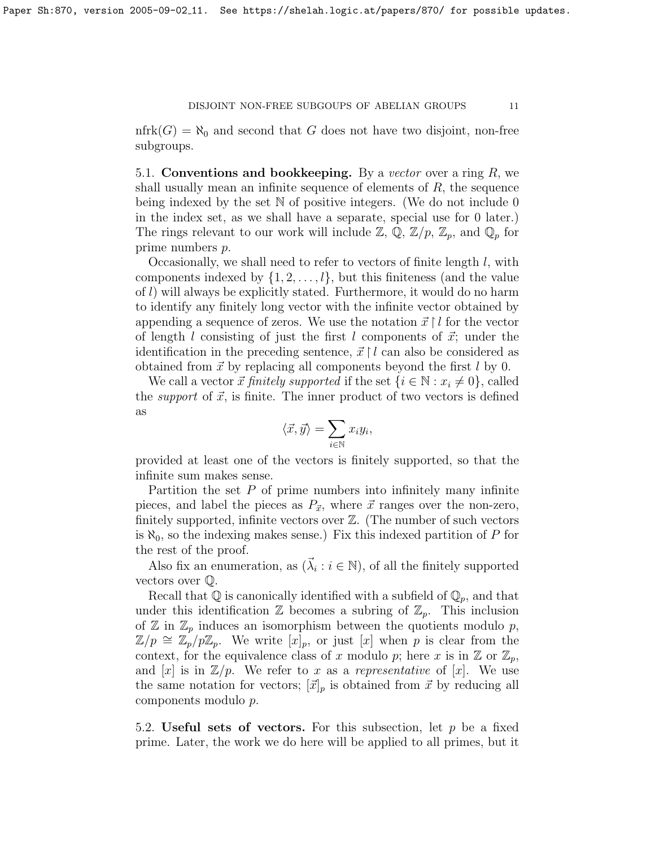$nfrk(G) = \aleph_0$  and second that G does not have two disjoint, non-free subgroups.

5.1. Conventions and bookkeeping. By a vector over a ring  $R$ , we shall usually mean an infinite sequence of elements of  $R$ , the sequence being indexed by the set  $\mathbb N$  of positive integers. (We do not include 0 in the index set, as we shall have a separate, special use for 0 later.) The rings relevant to our work will include  $\mathbb{Z}, \mathbb{Q}, \mathbb{Z}/p, \mathbb{Z}_p$ , and  $\mathbb{Q}_p$  for prime numbers p.

Occasionally, we shall need to refer to vectors of finite length l, with components indexed by  $\{1, 2, \ldots, l\}$ , but this finiteness (and the value of l) will always be explicitly stated. Furthermore, it would do no harm to identify any finitely long vector with the infinite vector obtained by appending a sequence of zeros. We use the notation  $\vec{x} \restriction l$  for the vector of length l consisting of just the first l components of  $\vec{x}$ ; under the identification in the preceding sentence,  $\vec{x} \restriction l$  can also be considered as obtained from  $\vec{x}$  by replacing all components beyond the first l by 0.

We call a vector  $\vec{x}$  finitely supported if the set  $\{i \in \mathbb{N} : x_i \neq 0\}$ , called the *support* of  $\vec{x}$ , is finite. The inner product of two vectors is defined as

$$
\langle \vec{x}, \vec{y} \rangle = \sum_{i \in \mathbb{N}} x_i y_i,
$$

provided at least one of the vectors is finitely supported, so that the infinite sum makes sense.

Partition the set  $P$  of prime numbers into infinitely many infinite pieces, and label the pieces as  $P_{\vec{x}}$ , where  $\vec{x}$  ranges over the non-zero, finitely supported, infinite vectors over Z. (The number of such vectors is  $\aleph_0$ , so the indexing makes sense.) Fix this indexed partition of P for the rest of the proof.

Also fix an enumeration, as  $(\vec{\lambda}_i : i \in \mathbb{N})$ , of all the finitely supported vectors over Q.

Recall that  $\mathbb Q$  is canonically identified with a subfield of  $\mathbb Q_p$ , and that under this identification  $\mathbb Z$  becomes a subring of  $\mathbb Z_p$ . This inclusion of  $\mathbb{Z}$  in  $\mathbb{Z}_p$  induces an isomorphism between the quotients modulo  $p$ ,  $\mathbb{Z}/p \cong \mathbb{Z}_p/p\mathbb{Z}_p$ . We write  $[x]_p$ , or just  $[x]$  when p is clear from the context, for the equivalence class of x modulo p; here x is in  $\mathbb{Z}$  or  $\mathbb{Z}_p$ , and [x] is in  $\mathbb{Z}/p$ . We refer to x as a representative of [x]. We use the same notation for vectors;  $[\vec{x}]_p$  is obtained from  $\vec{x}$  by reducing all components modulo p.

5.2. Useful sets of vectors. For this subsection, let  $p$  be a fixed prime. Later, the work we do here will be applied to all primes, but it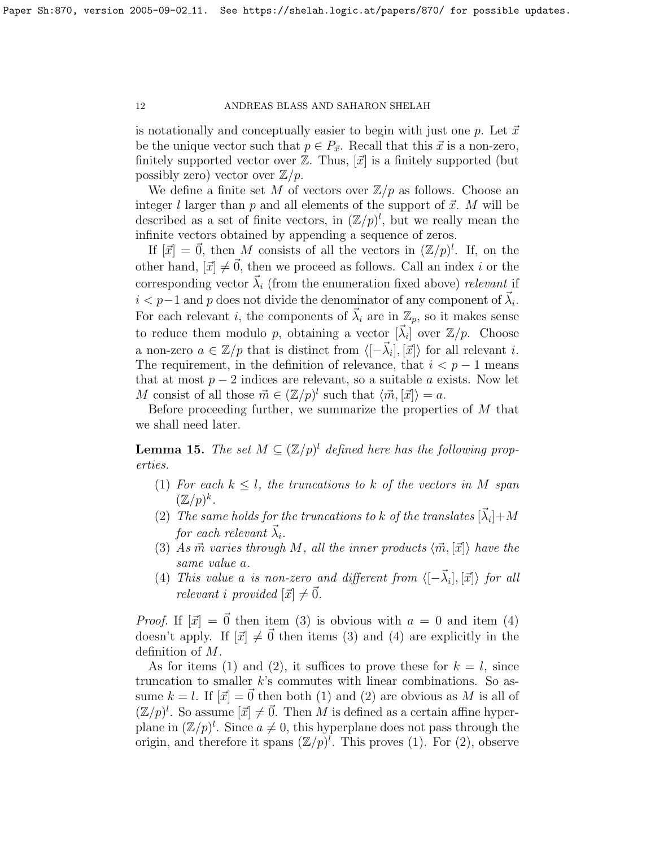is notationally and conceptually easier to begin with just one p. Let  $\vec{x}$ be the unique vector such that  $p \in P_{\vec{x}}$ . Recall that this  $\vec{x}$  is a non-zero, finitely supported vector over  $\mathbb{Z}$ . Thus,  $[\vec{x}]$  is a finitely supported (but possibly zero) vector over  $\mathbb{Z}/p$ .

We define a finite set M of vectors over  $\mathbb{Z}/p$  as follows. Choose an integer l larger than p and all elements of the support of  $\vec{x}$ . M will be described as a set of finite vectors, in  $(\mathbb{Z}/p)^l$ , but we really mean the infinite vectors obtained by appending a sequence of zeros.

If  $[\vec{x}] = \vec{0}$ , then M consists of all the vectors in  $(\mathbb{Z}/p)^l$ . If, on the other hand,  $[\vec{x}] \neq \vec{0}$ , then we proceed as follows. Call an index i or the corresponding vector  $\vec{\lambda}_i$  (from the enumeration fixed above) relevant if  $i < p-1$  and p does not divide the denominator of any component of  $\vec{\lambda}_i$ . For each relevant i, the components of  $\vec{\lambda}_i$  are in  $\mathbb{Z}_p$ , so it makes sense to reduce them modulo p, obtaining a vector  $[\vec{\lambda}_i]$  over  $\mathbb{Z}/p$ . Choose a non-zero  $a \in \mathbb{Z}/p$  that is distinct from  $\langle [-\vec{\lambda}_i], [\vec{x}] \rangle$  for all relevant i. The requirement, in the definition of relevance, that  $i < p - 1$  means that at most  $p-2$  indices are relevant, so a suitable a exists. Now let M consist of all those  $\vec{m} \in (\mathbb{Z}/p)^l$  such that  $\langle \vec{m}, \vec{x} \rangle = a$ .

Before proceeding further, we summarize the properties of M that we shall need later.

<span id="page-11-0"></span>**Lemma 15.** The set  $M \subseteq (\mathbb{Z}/p)^l$  defined here has the following properties.

- (1) For each  $k \leq l$ , the truncations to k of the vectors in M span  $(\mathbb{Z}/p)^k$ .
- (2) The same holds for the truncations to k of the translates  $[\vec{\lambda}_i] + M$ for each relevant  $\lambda_i$ .
- (3) As  $\vec{m}$  varies through M, all the inner products  $\langle \vec{m}, [\vec{x}] \rangle$  have the same value a.
- (4) This value a is non-zero and different from  $\langle [-\vec{\lambda}_i], [\vec{x}] \rangle$  for all relevant i provided  $[\vec{x}] \neq \vec{0}$ .

*Proof.* If  $[\vec{x}] = \vec{0}$  then item (3) is obvious with  $a = 0$  and item (4) doesn't apply. If  $[\vec{x}] \neq \vec{0}$  then items (3) and (4) are explicitly in the definition of M.

As for items (1) and (2), it suffices to prove these for  $k = l$ , since truncation to smaller  $k$ 's commutes with linear combinations. So assume  $k = l$ . If  $[\vec{x}] = \vec{0}$  then both (1) and (2) are obvious as M is all of  $(\mathbb{Z}/p)^l$ . So assume  $[\vec{x}] \neq \vec{0}$ . Then M is defined as a certain affine hyperplane in  $(\mathbb{Z}/p)^l$ . Since  $a \neq 0$ , this hyperplane does not pass through the origin, and therefore it spans  $(\mathbb{Z}/p)^l$ . This proves (1). For (2), observe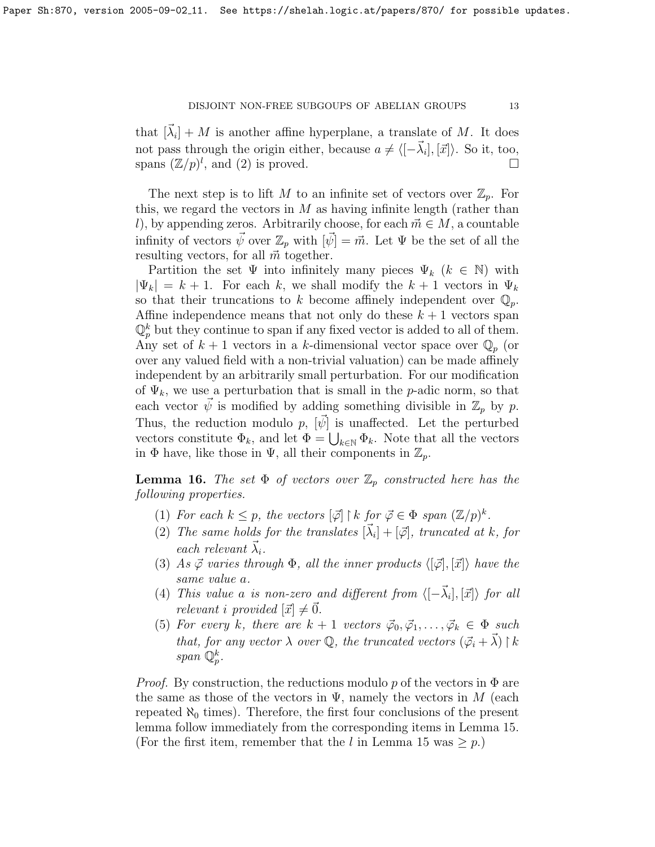that  $[\vec{\lambda}_i] + M$  is another affine hyperplane, a translate of M. It does not pass through the origin either, because  $a \neq \langle [-\vec{\lambda}_i], [\vec{x}] \rangle$ . So it, too, spans  $(\mathbb{Z}/p)^l$ , and (2) is proved.

The next step is to lift M to an infinite set of vectors over  $\mathbb{Z}_p$ . For this, we regard the vectors in  $M$  as having infinite length (rather than l), by appending zeros. Arbitrarily choose, for each  $\vec{m} \in M$ , a countable infinity of vectors  $\vec{\psi}$  over  $\mathbb{Z}_p$  with  $[\vec{\psi}] = \vec{m}$ . Let  $\Psi$  be the set of all the resulting vectors, for all  $\vec{m}$  together.

Partition the set  $\Psi$  into infinitely many pieces  $\Psi_k$   $(k \in \mathbb{N})$  with  $|\Psi_k| = k + 1$ . For each k, we shall modify the  $k + 1$  vectors in  $\Psi_k$ so that their truncations to k become affinely independent over  $\mathbb{Q}_p$ . Affine independence means that not only do these  $k + 1$  vectors span  $\mathbb{Q}_p^k$  but they continue to span if any fixed vector is added to all of them. Any set of  $k + 1$  vectors in a k-dimensional vector space over  $\mathbb{Q}_p$  (or over any valued field with a non-trivial valuation) can be made affinely independent by an arbitrarily small perturbation. For our modification of  $\Psi_k$ , we use a perturbation that is small in the *p*-adic norm, so that each vector  $\psi$  is modified by adding something divisible in  $\mathbb{Z}_p$  by p. Thus, the reduction modulo p,  $[\psi]$  is unaffected. Let the perturbed vectors constitute  $\Phi_k$ , and let  $\Phi = \bigcup_{k \in \mathbb{N}} \Phi_k$ . Note that all the vectors in  $\Phi$  have, like those in  $\Psi$ , all their components in  $\mathbb{Z}_p$ .

<span id="page-12-0"></span>**Lemma 16.** The set  $\Phi$  of vectors over  $\mathbb{Z}_p$  constructed here has the following properties.

- (1) For each  $k \leq p$ , the vectors  $[\vec{\varphi}] \restriction k$  for  $\vec{\varphi} \in \Phi$  span  $(\mathbb{Z}/p)^k$ .
- (2) The same holds for the translates  $[\vec{\lambda}_i] + [\vec{\varphi}]$ , truncated at k, for each relevant  $\vec{\lambda}_i$ .
- (3) As  $\vec{\varphi}$  varies through  $\Phi$ , all the inner products  $\langle [\vec{\varphi}], [\vec{x}] \rangle$  have the same value a.
- (4) This value a is non-zero and different from  $\langle [-\vec{\lambda}_i], [\vec{x}] \rangle$  for all relevant i provided  $[\vec{x}] \neq \vec{0}$ .
- (5) For every k, there are  $k + 1$  vectors  $\vec{\varphi}_0, \vec{\varphi}_1, \ldots, \vec{\varphi}_k \in \Phi$  such that, for any vector  $\lambda$  over  $\mathbb{Q}$ , the truncated vectors  $(\vec{\varphi}_i + \vec{\lambda}) \restriction k$  $span\ \mathbb{Q}_p^k.$

*Proof.* By construction, the reductions modulo p of the vectors in  $\Phi$  are the same as those of the vectors in  $\Psi$ , namely the vectors in M (each repeated  $\aleph_0$  times). Therefore, the first four conclusions of the present lemma follow immediately from the corresponding items in Lemma [15.](#page-11-0) (For the first item, remember that the l in Lemma [15](#page-11-0) was  $\geq p$ .)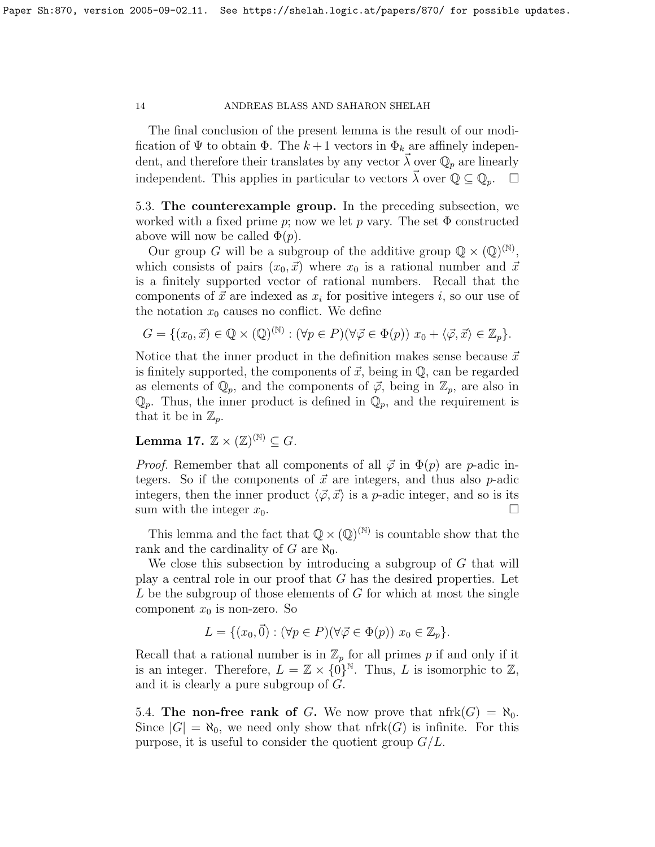The final conclusion of the present lemma is the result of our modification of  $\Psi$  to obtain  $\Phi$ . The  $k+1$  vectors in  $\Phi_k$  are affinely independent, and therefore their translates by any vector  $\lambda$  over  $\mathbb{Q}_p$  are linearly independent. This applies in particular to vectors  $\vec{\lambda}$  over  $\mathbb{Q} \subseteq \mathbb{Q}_p$ .  $\Box$ 

5.3. The counterexample group. In the preceding subsection, we worked with a fixed prime p; now we let p vary. The set  $\Phi$  constructed above will now be called  $\Phi(p)$ .

Our group G will be a subgroup of the additive group  $\mathbb{Q} \times (\mathbb{Q})^{(\mathbb{N})}$ , which consists of pairs  $(x_0, \vec{x})$  where  $x_0$  is a rational number and  $\vec{x}$ is a finitely supported vector of rational numbers. Recall that the components of  $\vec{x}$  are indexed as  $x_i$  for positive integers i, so our use of the notation  $x_0$  causes no conflict. We define

$$
G = \{ (x_0, \vec{x}) \in \mathbb{Q} \times (\mathbb{Q})^{(\mathbb{N})} : (\forall p \in P)(\forall \vec{\varphi} \in \Phi(p)) \ x_0 + \langle \vec{\varphi}, \vec{x} \rangle \in \mathbb{Z}_p \}.
$$

Notice that the inner product in the definition makes sense because  $\vec{x}$ is finitely supported, the components of  $\vec{x}$ , being in  $\mathbb{Q}$ , can be regarded as elements of  $\mathbb{Q}_p$ , and the components of  $\vec{\varphi}$ , being in  $\mathbb{Z}_p$ , are also in  $\mathbb{Q}_p$ . Thus, the inner product is defined in  $\mathbb{Q}_p$ , and the requirement is that it be in  $\mathbb{Z}_p$ .

Lemma 17.  $\mathbb{Z} \times (\mathbb{Z})^{(\mathbb{N})} \subseteq G$ .

*Proof.* Remember that all components of all  $\vec{\varphi}$  in  $\Phi(p)$  are *p*-adic integers. So if the components of  $\vec{x}$  are integers, and thus also p-adic integers, then the inner product  $\langle \vec{\varphi}, \vec{x} \rangle$  is a p-adic integer, and so is its sum with the integer  $x_0$ .

This lemma and the fact that  $\mathbb{Q} \times (\mathbb{Q})^{(\mathbb{N})}$  is countable show that the rank and the cardinality of G are  $\aleph_0$ .

We close this subsection by introducing a subgroup of G that will play a central role in our proof that G has the desired properties. Let  $L$  be the subgroup of those elements of  $G$  for which at most the single component  $x_0$  is non-zero. So

$$
L = \{ (x_0, \vec{0}) : (\forall p \in P)(\forall \vec{\varphi} \in \Phi(p)) \ x_0 \in \mathbb{Z}_p \}.
$$

Recall that a rational number is in  $\mathbb{Z}_p$  for all primes p if and only if it is an integer. Therefore,  $L = \mathbb{Z} \times \{0\}^{\mathbb{N}}$ . Thus, L is isomorphic to  $\mathbb{Z}$ , and it is clearly a pure subgroup of G.

5.4. The non-free rank of G. We now prove that  $nfrk(G) = \aleph_0$ . Since  $|G| = \aleph_0$ , we need only show that nfrk $(G)$  is infinite. For this purpose, it is useful to consider the quotient group  $G/L$ .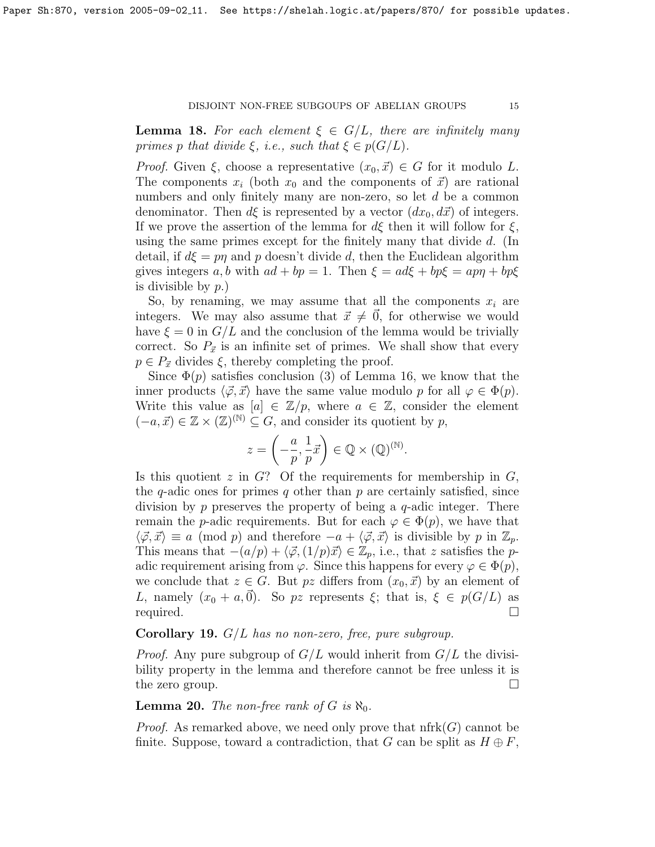**Lemma 18.** For each element  $\xi \in G/L$ , there are infinitely many primes p that divide  $\xi$ , i.e., such that  $\xi \in p(G/L)$ .

*Proof.* Given  $\xi$ , choose a representative  $(x_0, \vec{x}) \in G$  for it modulo L. The components  $x_i$  (both  $x_0$  and the components of  $\vec{x}$ ) are rational numbers and only finitely many are non-zero, so let d be a common denominator. Then  $d\xi$  is represented by a vector  $(dx_0, d\vec{x})$  of integers. If we prove the assertion of the lemma for  $d\xi$  then it will follow for  $\xi$ , using the same primes except for the finitely many that divide d. (In detail, if  $d\xi = p\eta$  and p doesn't divide d, then the Euclidean algorithm gives integers a, b with  $ad + bp = 1$ . Then  $\xi = ad\xi + bp\xi = ap\eta + bp\xi$ is divisible by  $p.$ )

So, by renaming, we may assume that all the components  $x_i$  are integers. We may also assume that  $\vec{x} \neq 0$ , for otherwise we would have  $\xi = 0$  in  $G/L$  and the conclusion of the lemma would be trivially correct. So  $P_{\vec{x}}$  is an infinite set of primes. We shall show that every  $p \in P_{\vec{x}}$  divides  $\xi$ , thereby completing the proof.

Since  $\Phi(p)$  satisfies conclusion (3) of Lemma [16,](#page-12-0) we know that the inner products  $\langle \vec{\varphi}, \vec{x} \rangle$  have the same value modulo p for all  $\varphi \in \Phi(p)$ . Write this value as  $[a] \in \mathbb{Z}/p$ , where  $a \in \mathbb{Z}$ , consider the element  $(-a, \vec{x}) \in \mathbb{Z} \times (\mathbb{Z})^{(\mathbb{N})} \subseteq G$ , and consider its quotient by p,

$$
z = \left(-\frac{a}{p}, \frac{1}{p}\vec{x}\right) \in \mathbb{Q} \times (\mathbb{Q})^{(\mathbb{N})}.
$$

Is this quotient  $z$  in  $G$ ? Of the requirements for membership in  $G$ , the q-adic ones for primes q other than  $p$  are certainly satisfied, since division by p preserves the property of being a  $q$ -adic integer. There remain the p-adic requirements. But for each  $\varphi \in \Phi(p)$ , we have that  $\langle \vec{\varphi}, \vec{x} \rangle \equiv a \pmod{p}$  and therefore  $-a + \langle \vec{\varphi}, \vec{x} \rangle$  is divisible by p in  $\mathbb{Z}_p$ . This means that  $-(a/p) + \langle \vec{\varphi}, (1/p)\vec{x} \rangle \in \mathbb{Z}_p$ , i.e., that z satisfies the padic requirement arising from  $\varphi$ . Since this happens for every  $\varphi \in \Phi(p)$ , we conclude that  $z \in G$ . But pz differs from  $(x_0, \vec{x})$  by an element of L, namely  $(x_0 + a, \vec{0})$ . So pz represents  $\xi$ ; that is,  $\xi \in p(G/L)$  as required.

# <span id="page-14-0"></span>**Corollary 19.**  $G/L$  has no non-zero, free, pure subgroup.

*Proof.* Any pure subgroup of  $G/L$  would inherit from  $G/L$  the divisibility property in the lemma and therefore cannot be free unless it is the zero group.  $\Box$ 

## **Lemma 20.** The non-free rank of G is  $\aleph_0$ .

*Proof.* As remarked above, we need only prove that  $nfrk(G)$  cannot be finite. Suppose, toward a contradiction, that G can be split as  $H \oplus F$ ,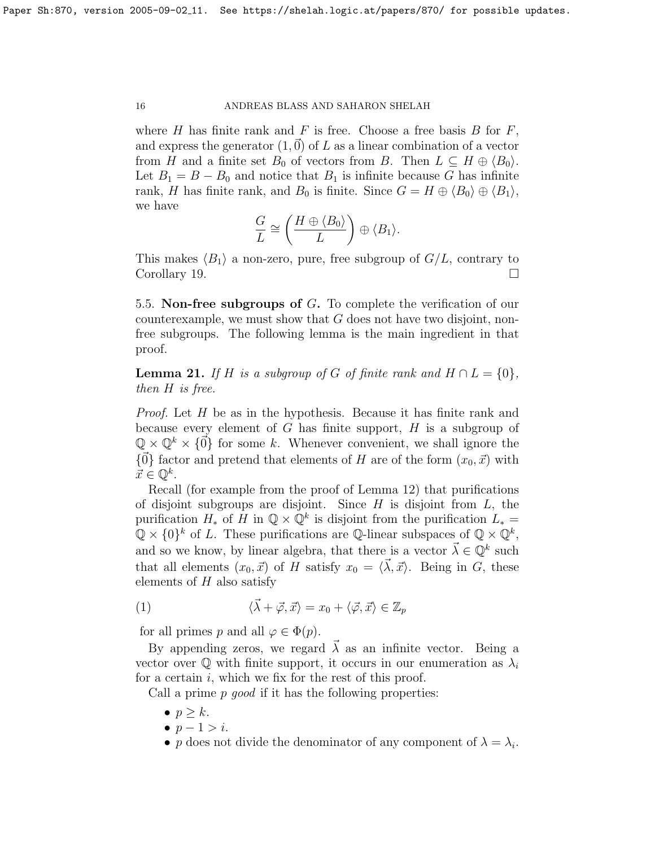where H has finite rank and F is free. Choose a free basis B for  $F$ , and express the generator  $(1,0)$  of L as a linear combination of a vector from H and a finite set  $B_0$  of vectors from B. Then  $L \subseteq H \oplus \langle B_0 \rangle$ . Let  $B_1 = B - B_0$  and notice that  $B_1$  is infinite because G has infinite rank, H has finite rank, and  $B_0$  is finite. Since  $G = H \oplus \langle B_0 \rangle \oplus \langle B_1 \rangle$ , we have

$$
\frac{G}{L} \cong \left(\frac{H \oplus \langle B_0 \rangle}{L}\right) \oplus \langle B_1 \rangle.
$$

This makes  $\langle B_1 \rangle$  a non-zero, pure, free subgroup of  $G/L$ , contrary to Corollary [19.](#page-14-0)

5.5. Non-free subgroups of G. To complete the verification of our counterexample, we must show that  $G$  does not have two disjoint, nonfree subgroups. The following lemma is the main ingredient in that proof.

**Lemma 21.** If H is a subgroup of G of finite rank and  $H \cap L = \{0\}$ , then H is free.

Proof. Let H be as in the hypothesis. Because it has finite rank and because every element of  $G$  has finite support,  $H$  is a subgroup of  $\mathbb{Q} \times \mathbb{Q}^k \times \{0\}$  for some k. Whenever convenient, we shall ignore the  ${\{\vec{0}\}}$  factor and pretend that elements of H are of the form  $(x_0, \vec{x})$  with  $\vec{x} \in \mathbb{Q}^k$ .

Recall (for example from the proof of Lemma [12\)](#page-7-2) that purifications of disjoint subgroups are disjoint. Since  $H$  is disjoint from  $L$ , the purification  $H_*$  of  $\overline{H}$  in  $\mathbb{Q} \times \mathbb{Q}^k$  is disjoint from the purification  $L_* =$  $\mathbb{Q} \times \{0\}^k$  of L. These purifications are Q-linear subspaces of  $\mathbb{Q} \times \mathbb{Q}^k$ , and so we know, by linear algebra, that there is a vector  $\vec{\lambda} \in \mathbb{Q}^k$  such that all elements  $(x_0, \vec{x})$  of H satisfy  $x_0 = \langle \vec{\lambda}, \vec{x} \rangle$ . Being in G, these elements of  $H$  also satisfy

<span id="page-15-0"></span>(1) 
$$
\langle \vec{\lambda} + \vec{\varphi}, \vec{x} \rangle = x_0 + \langle \vec{\varphi}, \vec{x} \rangle \in \mathbb{Z}_p
$$

for all primes p and all  $\varphi \in \Phi(p)$ .

By appending zeros, we regard  $\vec{\lambda}$  as an infinite vector. Being a vector over  $\mathbb Q$  with finite support, it occurs in our enumeration as  $\lambda_i$ for a certain  $i$ , which we fix for the rest of this proof.

Call a prime  $p$  good if it has the following properties:

- $\bullet$   $p > k$ .
- $p-1 > i$ .
- p does not divide the denominator of any component of  $\lambda = \lambda_i$ .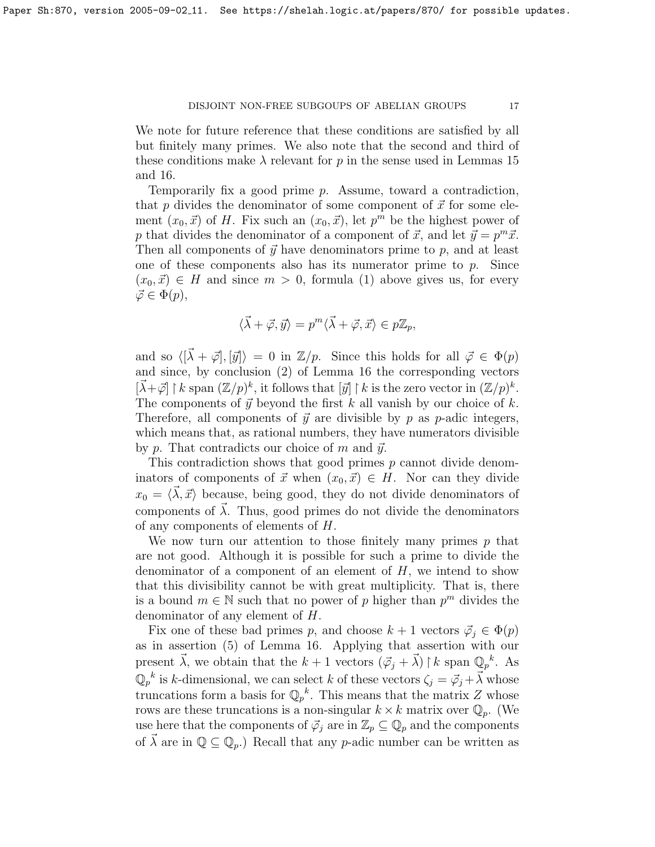We note for future reference that these conditions are satisfied by all but finitely many primes. We also note that the second and third of these conditions make  $\lambda$  relevant for p in the sense used in Lemmas [15](#page-11-0) and [16.](#page-12-0)

Temporarily fix a good prime p. Assume, toward a contradiction, that p divides the denominator of some component of  $\vec{x}$  for some element  $(x_0, \vec{x})$  of H. Fix such an  $(x_0, \vec{x})$ , let  $p^m$  be the highest power of p that divides the denominator of a component of  $\vec{x}$ , and let  $\vec{y} = p^m \vec{x}$ . Then all components of  $\vec{y}$  have denominators prime to p, and at least one of these components also has its numerator prime to  $p$ . Since  $(x_0, \vec{x}) \in H$  and since  $m > 0$ , formula [\(1\)](#page-15-0) above gives us, for every  $\vec{\varphi} \in \Phi(p),$ 

$$
\langle \vec{\lambda} + \vec{\varphi}, \vec{y} \rangle = p^m \langle \vec{\lambda} + \vec{\varphi}, \vec{x} \rangle \in p\mathbb{Z}_p,
$$

and so  $\langle [\vec{\lambda} + \vec{\varphi}], [\vec{y}] \rangle = 0$  in  $\mathbb{Z}/p$ . Since this holds for all  $\vec{\varphi} \in \Phi(p)$ and since, by conclusion (2) of Lemma [16](#page-12-0) the corresponding vectors  $[\vec{\lambda} + \vec{\varphi}] \restriction k$  span  $(\mathbb{Z}/p)^k$ , it follows that  $[\vec{y}] \restriction k$  is the zero vector in  $(\mathbb{Z}/p)^k$ . The components of  $\vec{y}$  beyond the first k all vanish by our choice of k. Therefore, all components of  $\vec{y}$  are divisible by p as p-adic integers, which means that, as rational numbers, they have numerators divisible by p. That contradicts our choice of m and  $\vec{y}$ .

This contradiction shows that good primes p cannot divide denominators of components of  $\vec{x}$  when  $(x_0, \vec{x}) \in H$ . Nor can they divide  $x_0 = \langle \vec{\lambda}, \vec{x} \rangle$  because, being good, they do not divide denominators of components of  $\vec{\lambda}$ . Thus, good primes do not divide the denominators of any components of elements of H.

We now turn our attention to those finitely many primes  $p$  that are not good. Although it is possible for such a prime to divide the denominator of a component of an element of  $H$ , we intend to show that this divisibility cannot be with great multiplicity. That is, there is a bound  $m \in \mathbb{N}$  such that no power of p higher than  $p^m$  divides the denominator of any element of H.

Fix one of these bad primes p, and choose  $k + 1$  vectors  $\vec{\varphi}_i \in \Phi(p)$ as in assertion (5) of Lemma [16.](#page-12-0) Applying that assertion with our present  $\vec{\lambda}$ , we obtain that the  $k + 1$  vectors  $(\vec{\varphi}_j + \vec{\lambda}) \upharpoonright k$  span  $\mathbb{Q}_p^k$ . As  $\mathbb{Q}_p^k$  is k-dimensional, we can select k of these vectors  $\zeta_j = \vec{\varphi}_j + \vec{\lambda}$  whose truncations form a basis for  $\mathbb{Q}_p^k$ . This means that the matrix Z whose rows are these truncations is a non-singular  $k \times k$  matrix over  $\mathbb{Q}_p$ . (We use here that the components of  $\vec{\varphi}_j$  are in  $\mathbb{Z}_p \subseteq \mathbb{Q}_p$  and the components of  $\vec{\lambda}$  are in  $\mathbb{Q} \subseteq \mathbb{Q}_p$ .) Recall that any p-adic number can be written as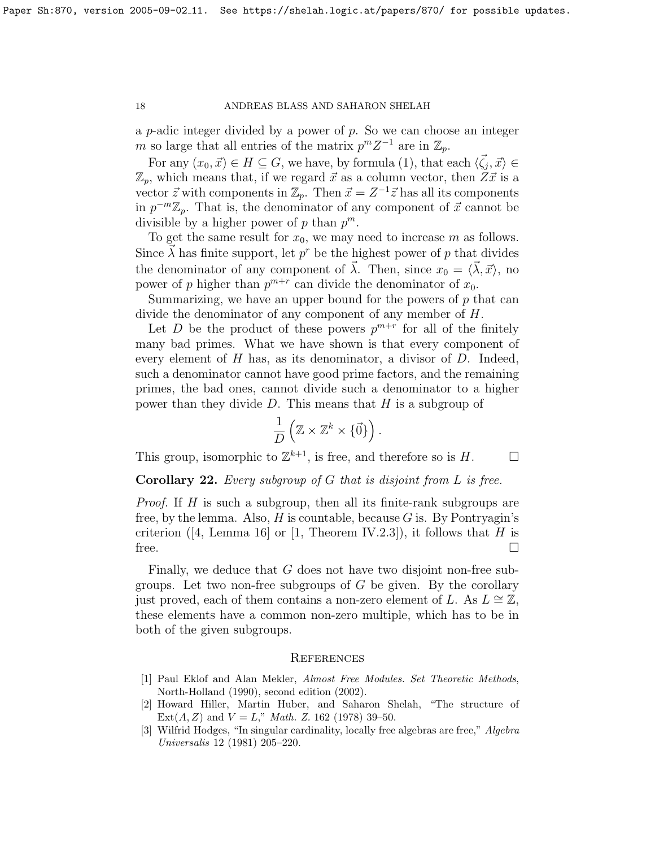a p-adic integer divided by a power of  $p$ . So we can choose an integer m so large that all entries of the matrix  $p^m Z^{-1}$  are in  $\mathbb{Z}_p$ .

For any  $(x_0, \vec{x}) \in H \subseteq G$ , we have, by formula [\(1\)](#page-15-0), that each  $\langle \vec{\zeta}_j, \vec{x} \rangle \in$  $\mathbb{Z}_p$ , which means that, if we regard  $\vec{x}$  as a column vector, then  $Z\vec{x}$  is a vector  $\vec{z}$  with components in  $\mathbb{Z}_p$ . Then  $\vec{x} = Z^{-1}\vec{z}$  has all its components in  $p^{-m}\mathbb{Z}_p$ . That is, the denominator of any component of  $\vec{x}$  cannot be divisible by a higher power of p than  $p^m$ .

To get the same result for  $x_0$ , we may need to increase m as follows. Since  $\vec{\lambda}$  has finite support, let  $p^r$  be the highest power of p that divides the denominator of any component of  $\vec{\lambda}$ . Then, since  $x_0 = \langle \vec{\lambda}, \vec{x} \rangle$ , no power of p higher than  $p^{m+r}$  can divide the denominator of  $x_0$ .

Summarizing, we have an upper bound for the powers of  $p$  that can divide the denominator of any component of any member of H.

Let D be the product of these powers  $p^{m+r}$  for all of the finitely many bad primes. What we have shown is that every component of every element of  $H$  has, as its denominator, a divisor of  $D$ . Indeed, such a denominator cannot have good prime factors, and the remaining primes, the bad ones, cannot divide such a denominator to a higher power than they divide  $D$ . This means that  $H$  is a subgroup of

$$
\frac{1}{D}\left(\mathbb{Z}\times\mathbb{Z}^k\times\{\vec{0}\}\right).
$$

This group, isomorphic to  $\mathbb{Z}^{k+1}$ , is free, and therefore so is H.

**Corollary 22.** Every subgroup of  $G$  that is disjoint from  $L$  is free.

Proof. If H is such a subgroup, then all its finite-rank subgroups are free, by the lemma. Also,  $H$  is countable, because  $G$  is. By Pontryagin's criterion([\[4,](#page-18-2) Lemma 16] or [\[1,](#page-17-0) Theorem IV.2.3]), it follows that H is free.  $\Box$ 

Finally, we deduce that  $G$  does not have two disjoint non-free subgroups. Let two non-free subgroups of  $G$  be given. By the corollary just proved, each of them contains a non-zero element of L. As  $L \cong \mathbb{Z}$ , these elements have a common non-zero multiple, which has to be in both of the given subgroups.

#### **REFERENCES**

- <span id="page-17-0"></span>[1] Paul Eklof and Alan Mekler, Almost Free Modules. Set Theoretic Methods, North-Holland (1990), second edition (2002).
- <span id="page-17-1"></span>[2] Howard Hiller, Martin Huber, and Saharon Shelah, "The structure of Ext $(A, Z)$  and  $V = L$ ," *Math. Z.* 162 (1978) 39-50.
- <span id="page-17-2"></span>[3] Wilfrid Hodges, "In singular cardinality, locally free algebras are free," Algebra Universalis 12 (1981) 205–220.